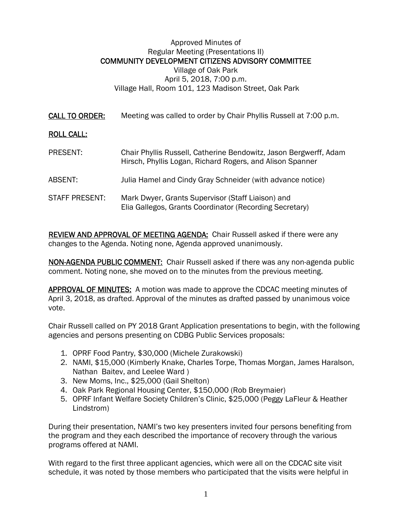## Approved Minutes of Regular Meeting (Presentations II) COMMUNITY DEVELOPMENT CITIZENS ADVISORY COMMITTEE Village of Oak Park April 5, 2018, 7:00 p.m. Village Hall, Room 101, 123 Madison Street, Oak Park

CALL TO ORDER: Meeting was called to order by Chair Phyllis Russell at 7:00 p.m.

## ROLL CALL:

| PRESENT:       | Chair Phyllis Russell, Catherine Bendowitz, Jason Bergwerff, Adam<br>Hirsch, Phyllis Logan, Richard Rogers, and Alison Spanner |
|----------------|--------------------------------------------------------------------------------------------------------------------------------|
| ABSENT:        | Julia Hamel and Cindy Gray Schneider (with advance notice)                                                                     |
| STAFF PRESENT: | Mark Dwyer, Grants Supervisor (Staff Liaison) and<br>Elia Gallegos, Grants Coordinator (Recording Secretary)                   |

REVIEW AND APPROVAL OF MEETING AGENDA: Chair Russell asked if there were any changes to the Agenda. Noting none, Agenda approved unanimously.

NON-AGENDA PUBLIC COMMENT: Chair Russell asked if there was any non-agenda public comment. Noting none, she moved on to the minutes from the previous meeting.

APPROVAL OF MINUTES: A motion was made to approve the CDCAC meeting minutes of April 3, 2018, as drafted. Approval of the minutes as drafted passed by unanimous voice vote.

Chair Russell called on PY 2018 Grant Application presentations to begin, with the following agencies and persons presenting on CDBG Public Services proposals:

- 1. OPRF Food Pantry, \$30,000 (Michele Zurakowski)
- 2. NAMI, \$15,000 (Kimberly Knake, Charles Torpe, Thomas Morgan, James Haralson, Nathan Baitev, and Leelee Ward )
- 3. New Moms, Inc., \$25,000 (Gail Shelton)
- 4. Oak Park Regional Housing Center, \$150,000 (Rob Breymaier)
- 5. OPRF Infant Welfare Society Children's Clinic, \$25,000 (Peggy LaFleur & Heather Lindstrom)

During their presentation, NAMI's two key presenters invited four persons benefiting from the program and they each described the importance of recovery through the various programs offered at NAMI.

With regard to the first three applicant agencies, which were all on the CDCAC site visit schedule, it was noted by those members who participated that the visits were helpful in